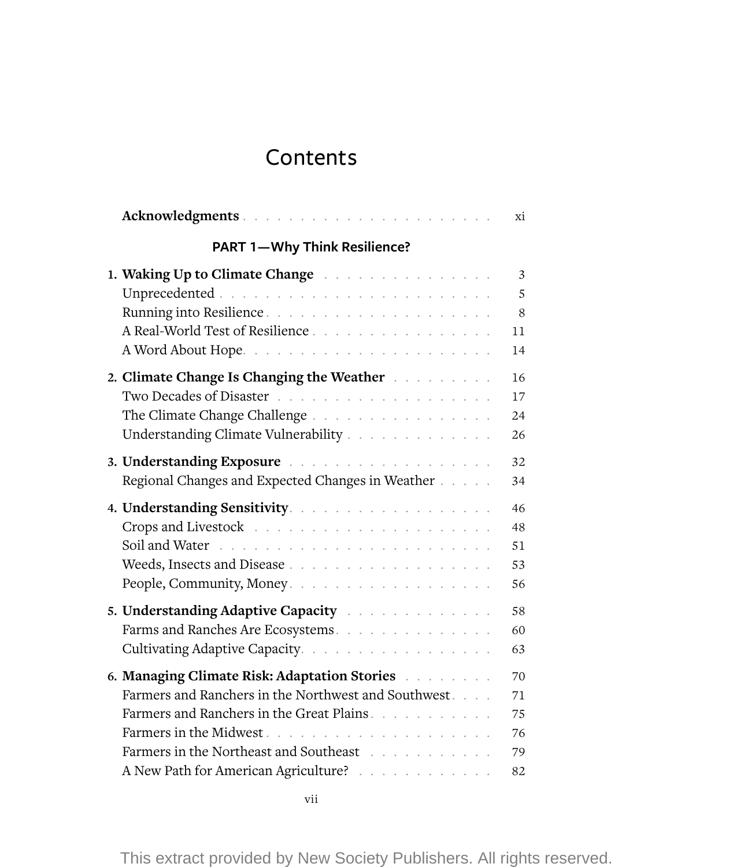## Contents

| Acknowledgments                                                                                                  | хi |
|------------------------------------------------------------------------------------------------------------------|----|
| <b>PART 1-Why Think Resilience?</b>                                                                              |    |
| 1. Waking Up to Climate Change                                                                                   | 3  |
|                                                                                                                  | 5  |
| Running into Resilience                                                                                          | 8  |
| A Real-World Test of Resilience                                                                                  | 11 |
|                                                                                                                  | 14 |
| 2. Climate Change Is Changing the Weather Alberta Linds                                                          | 16 |
|                                                                                                                  | 17 |
| The Climate Change Challenge                                                                                     | 24 |
| Understanding Climate Vulnerability                                                                              | 26 |
| 3. Understanding Exposure and a contract the contract of the state of the state of the state of the state of the | 32 |
| Regional Changes and Expected Changes in Weather                                                                 | 34 |
|                                                                                                                  | 46 |
| Crops and Livestock (and a series of the series of the series of the series of the series of the series of the   | 48 |
|                                                                                                                  | 51 |
|                                                                                                                  | 53 |
| People, Community, Money.                                                                                        | 56 |
| 5. Understanding Adaptive Capacity Alberta Alberta and Alberta Alberta Alberta Alberta Alberta Alberta Alberta   | 58 |
| Farms and Ranches Are Ecosystems.                                                                                | 60 |
| Cultivating Adaptive Capacity.                                                                                   | 63 |
|                                                                                                                  | 70 |
| Farmers and Ranchers in the Northwest and Southwest                                                              | 71 |
| Farmers and Ranchers in the Great Plains.                                                                        | 75 |
|                                                                                                                  | 76 |
| Farmers in the Northeast and Southeast Northeast (1997). The settlement of the Southeast (1997) shows that the S | 79 |
| A New Path for American Agriculture?                                                                             | 82 |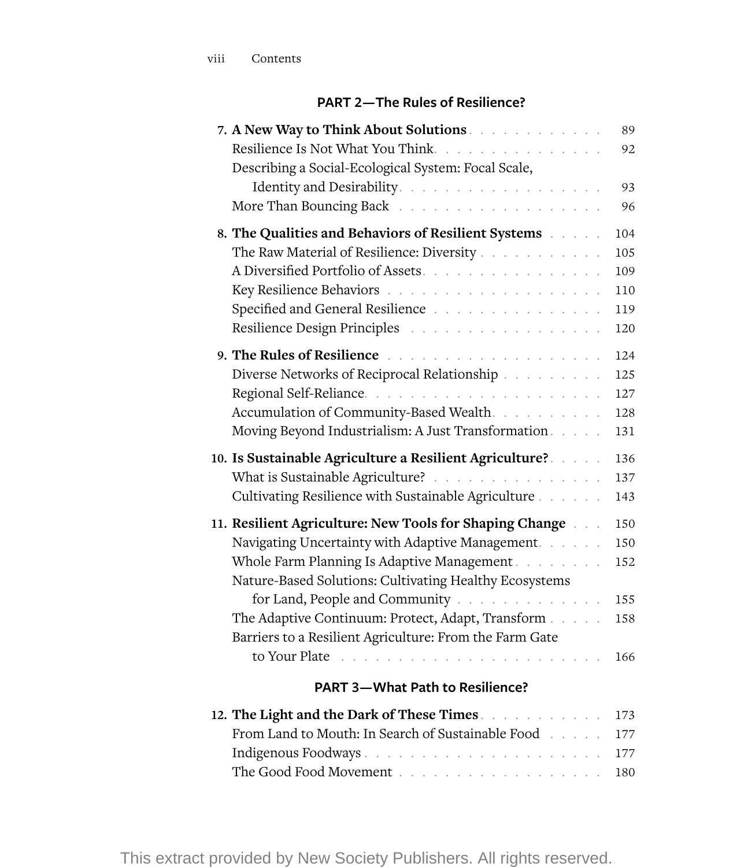## **PART 2— The Rules of Resilience?**

| 7. A New Way to Think About Solutions<br>Resilience Is Not What You Think.<br>Describing a Social-Ecological System: Focal Scale,                                                                                                                                                                                                                                                          | 89<br>92                               |
|--------------------------------------------------------------------------------------------------------------------------------------------------------------------------------------------------------------------------------------------------------------------------------------------------------------------------------------------------------------------------------------------|----------------------------------------|
|                                                                                                                                                                                                                                                                                                                                                                                            | 93                                     |
|                                                                                                                                                                                                                                                                                                                                                                                            | 96                                     |
|                                                                                                                                                                                                                                                                                                                                                                                            | 104                                    |
| The Raw Material of Resilience: Diversity                                                                                                                                                                                                                                                                                                                                                  | 105                                    |
| A Diversified Portfolio of Assets                                                                                                                                                                                                                                                                                                                                                          | 109                                    |
|                                                                                                                                                                                                                                                                                                                                                                                            | 110                                    |
| Specified and General Resilience                                                                                                                                                                                                                                                                                                                                                           | 119                                    |
| Resilience Design Principles (Contact of Contact of Contact of Contact of Contact of Contact of Contact of Contact of Contact of Contact of Contact of Contact of Contact of Contact of Contact of Contact of Contact of Conta                                                                                                                                                             | 120                                    |
| 9. The Rules of Resilience <b>Fig. 1. Accept and Property Residence Fig. 1. Accept and Property Accept</b>                                                                                                                                                                                                                                                                                 | 124                                    |
| Diverse Networks of Reciprocal Relationship                                                                                                                                                                                                                                                                                                                                                | 125                                    |
|                                                                                                                                                                                                                                                                                                                                                                                            | 127                                    |
| Accumulation of Community-Based Wealth.                                                                                                                                                                                                                                                                                                                                                    | 128                                    |
|                                                                                                                                                                                                                                                                                                                                                                                            | 131                                    |
| 10. Is Sustainable Agriculture a Resilient Agriculture? a seculture and sub-                                                                                                                                                                                                                                                                                                               | 136                                    |
| What is Sustainable Agriculture?                                                                                                                                                                                                                                                                                                                                                           | 137                                    |
| Cultivating Resilience with Sustainable Agriculture                                                                                                                                                                                                                                                                                                                                        | 143                                    |
| 11. Resilient Agriculture: New Tools for Shaping Change and<br>Navigating Uncertainty with Adaptive Management.<br>Whole Farm Planning Is Adaptive Management<br>Nature-Based Solutions: Cultivating Healthy Ecosystems<br>for Land, People and Community<br>The Adaptive Continuum: Protect, Adapt, Transform<br>Barriers to a Resilient Agriculture: From the Farm Gate<br>to Your Plate | 150<br>150<br>152<br>155<br>158<br>166 |
| <b>PART 3-What Path to Resilience?</b>                                                                                                                                                                                                                                                                                                                                                     |                                        |
| 12. The Light and the Dark of These Times.                                                                                                                                                                                                                                                                                                                                                 | 173                                    |
| From Land to Mouth: In Search of Sustainable Food                                                                                                                                                                                                                                                                                                                                          | 177                                    |
| Indigenous Foodways                                                                                                                                                                                                                                                                                                                                                                        | 177                                    |
|                                                                                                                                                                                                                                                                                                                                                                                            | 180                                    |